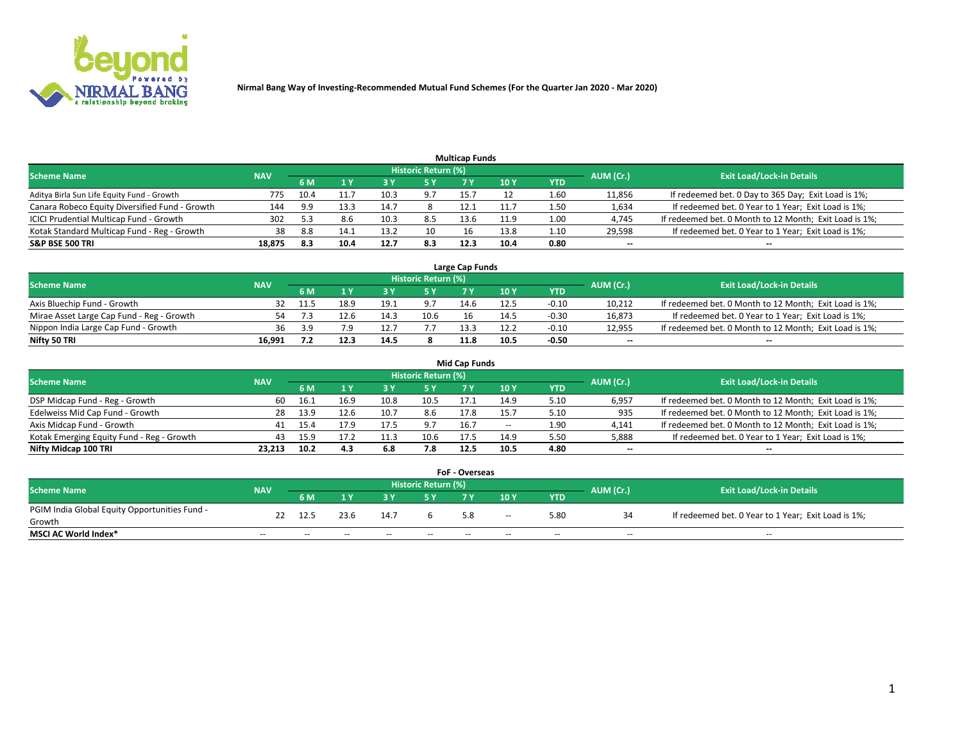

|                                                |            |      |      |      |                     | <b>Multicap Funds</b> |      |      |                          |                                                        |
|------------------------------------------------|------------|------|------|------|---------------------|-----------------------|------|------|--------------------------|--------------------------------------------------------|
| Scheme Name                                    | <b>NAV</b> |      |      |      | Historic Return (%) |                       |      |      | AUM (Cr.)                | <b>Exit Load/Lock-in Details</b>                       |
|                                                |            | 6 M  | 4 Y  |      | 5 Y                 | 7 Y                   | 10Y  | YTD  |                          |                                                        |
| Aditya Birla Sun Life Equity Fund - Growth     | 775        | 10.4 |      | 10.3 | $^{\circ}$          | 15.7                  |      | 1.60 | 11,856                   | If redeemed bet. 0 Day to 365 Day; Exit Load is 1%;    |
| Canara Robeco Equity Diversified Fund - Growth | 144        | 9.9  | 13.3 | 14.7 |                     | 12.1                  | 11.7 | 1.50 | 1,634                    | If redeemed bet. 0 Year to 1 Year; Exit Load is 1%;    |
| ICICI Prudential Multicap Fund - Growth        | 302        | 5.3  |      | 10.3 | 8.5                 | 13.6                  | 11.9 | 1.00 | 4,745                    | If redeemed bet. 0 Month to 12 Month; Exit Load is 1%; |
| Kotak Standard Multicap Fund - Reg - Growth    | 38         | -8.8 | 14.1 | 13.2 | 10                  | 16                    | 13.8 | 1.10 | 29,598                   | If redeemed bet. 0 Year to 1 Year; Exit Load is 1%;    |
| <b>S&amp;P BSE 500 TRI</b>                     | 18.875     | 8.3  | 10.4 | 12.7 | 8.3                 | 12.3                  | 10.4 | 0.80 | $\overline{\phantom{a}}$ | $\overline{\phantom{a}}$                               |

| Large Cap Funds                           |            |      |      |      |                     |      |      |         |           |                                                        |  |  |  |  |
|-------------------------------------------|------------|------|------|------|---------------------|------|------|---------|-----------|--------------------------------------------------------|--|--|--|--|
| Scheme Name                               | <b>NAV</b> |      |      |      | Historic Return (%) |      |      |         | AUM (Cr.) | <b>Exit Load/Lock-in Details</b>                       |  |  |  |  |
|                                           |            | 6 M  |      |      | 5 Y                 |      | 10Y  | YTD     |           |                                                        |  |  |  |  |
| Axis Bluechip Fund - Growth               |            | 11.5 | 18.9 | 19.1 |                     | 14.6 | 12.5 | $-0.10$ | 10,212    | If redeemed bet. 0 Month to 12 Month; Exit Load is 1%; |  |  |  |  |
| Mirae Asset Large Cap Fund - Reg - Growth | 54         |      | 12.6 | 14.3 | 10.6                | 16   | 14.5 | $-0.30$ | 16,873    | If redeemed bet. 0 Year to 1 Year; Exit Load is 1%;    |  |  |  |  |
| Nippon India Large Cap Fund - Growth      | 36         | 3.9  |      |      | .                   | 13.3 |      | $-0.10$ | 12,955    | If redeemed bet. 0 Month to 12 Month; Exit Load is 1%; |  |  |  |  |
| Nifty 50 TRI                              | 16.991     |      | 12.3 | 14.5 |                     | 11.8 | 10.5 | $-0.50$ | $\sim$    | $\sim$                                                 |  |  |  |  |

|                                           |            |      |      |      |                     | <b>Mid Cap Funds</b> |       |            |           |                                                        |
|-------------------------------------------|------------|------|------|------|---------------------|----------------------|-------|------------|-----------|--------------------------------------------------------|
| <b>Scheme Name</b>                        | <b>NAV</b> |      |      |      | Historic Return (%) |                      |       |            | AUM (Cr.) | <b>Exit Load/Lock-in Details</b>                       |
|                                           |            | 6 M  |      |      | 5 Y                 |                      | 10 Y  | <b>YTD</b> |           |                                                        |
| DSP Midcap Fund - Reg - Growth            | 60         | 16.1 | 16.9 | 10.8 | 10.5                | 17.1                 | 14.9  | 5.10       | 6,957     | If redeemed bet. 0 Month to 12 Month; Exit Load is 1%; |
| Edelweiss Mid Cap Fund - Growth           | 28.        | 13.9 | 12.6 | 10.7 | 8.6                 | 17.8                 | 15.   | 5.10       | 935       | If redeemed bet. 0 Month to 12 Month; Exit Load is 1%; |
| Axis Midcap Fund - Growth                 | 41         | 15.4 |      | 17.5 | 9.7                 | 16.7                 | $- -$ | 1.90       | 4,141     | If redeemed bet. 0 Month to 12 Month; Exit Load is 1%; |
| Kotak Emerging Equity Fund - Reg - Growth | 43         | 15.9 | 17.2 | 11.3 | 10.6                | 17.5                 | 14.9  | 5.50       | 5,888     | If redeemed bet. 0 Year to 1 Year; Exit Load is 1%;    |
| Nifty Midcap 100 TRI                      | 23.213     | 10.2 | 4.3  | 6.8  | 7.8                 | 12.5                 | 10.5  | 4.80       | $\sim$    | $\sim$                                                 |

| <b>FoF - Overseas</b>                         |            |       |                                  |       |       |     |               |            |           |                                                     |  |  |  |
|-----------------------------------------------|------------|-------|----------------------------------|-------|-------|-----|---------------|------------|-----------|-----------------------------------------------------|--|--|--|
| <b>Scheme Name</b>                            | <b>NAV</b> |       | <b>Exit Load/Lock-in Details</b> |       |       |     |               |            |           |                                                     |  |  |  |
|                                               |            | 6 M   |                                  |       |       |     | 10Y           | <b>YTD</b> | AUM (Cr.) |                                                     |  |  |  |
| PGIM India Global Equity Opportunities Fund - | 22         | 12.5  | 23.6                             | 14.7  |       | 5.8 | $\sim$ $\sim$ | 5.80       |           | If redeemed bet. 0 Year to 1 Year; Exit Load is 1%; |  |  |  |
| Growth                                        |            |       |                                  |       |       |     |               |            |           |                                                     |  |  |  |
| <b>MSCI AC World Index*</b>                   | $- -$      | $- -$ | $- -$                            | $- -$ | $- -$ | --  | $- -$         | $- -$      | $- -$     | $- -$                                               |  |  |  |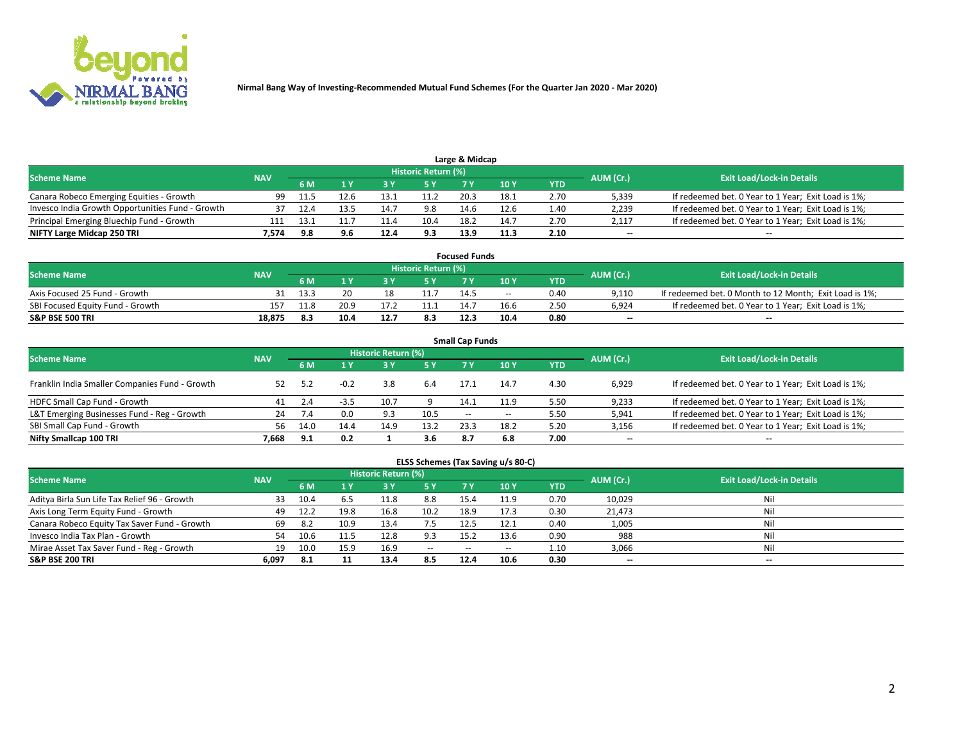

| Large & Midcap                                   |            |       |     |      |                     |      |      |       |                          |                                                     |  |  |  |  |
|--------------------------------------------------|------------|-------|-----|------|---------------------|------|------|-------|--------------------------|-----------------------------------------------------|--|--|--|--|
| <b>Scheme Name</b>                               | <b>NAV</b> |       |     |      | Historic Return (%) |      |      |       | AUM (Cr.)                | <b>Exit Load/Lock-in Details</b>                    |  |  |  |  |
|                                                  |            | 6 M   |     |      | 5 Y                 |      | 10Y  | YTD   |                          |                                                     |  |  |  |  |
| Canara Robeco Emerging Equities - Growth         | 99         | -11.5 |     | 13.1 |                     | 20.3 | 18.1 | 2.70  | 5,339                    | If redeemed bet. 0 Year to 1 Year; Exit Load is 1%; |  |  |  |  |
| Invesco India Growth Opportunities Fund - Growth |            |       |     | 14.7 | 9.8                 | 14.6 | 12.6 | ـ 40. | 2,239                    | If redeemed bet. 0 Year to 1 Year; Exit Load is 1%; |  |  |  |  |
| Principal Emerging Bluechip Fund - Growth        | 111        | 13.1  |     | 11.4 | 10.4                | 18.2 | 14.7 | 2.70  | 2,117                    | If redeemed bet. 0 Year to 1 Year; Exit Load is 1%; |  |  |  |  |
| NIFTY Large Midcap 250 TRI                       | 7.574      | 9.8   | 9.6 | 12.4 | 9.3                 | 13.9 | 11.3 | 2.10  | $\overline{\phantom{a}}$ | $-$                                                 |  |  |  |  |

|                                  |            |      |      |    |                     | <b>Focused Funds</b> |       |            |           |                                                        |
|----------------------------------|------------|------|------|----|---------------------|----------------------|-------|------------|-----------|--------------------------------------------------------|
| <b>Scheme Name</b>               | <b>NAV</b> |      |      |    | Historic Return (%) |                      |       |            | AUM (Cr.) | <b>Exit Load/Lock-in Details</b>                       |
|                                  |            | 6 M  |      |    |                     |                      | 10 Y  | <b>YTD</b> |           |                                                        |
| Axis Focused 25 Fund - Growth    |            | 13.3 |      | 18 |                     | 14.5                 | $- -$ | 0.40       | 9.110     | If redeemed bet. 0 Month to 12 Month; Exit Load is 1%; |
| SBI Focused Equity Fund - Growth | 157        |      | 20.9 |    |                     | 14.7                 | 16.6  | 2.50       | 6.924     | If redeemed bet. 0 Year to 1 Year; Exit Load is 1%;    |
| <b>S&amp;P BSE 500 TRI</b>       | 18.875     | 8.3  | 10.4 |    | 8.3                 | 12.3                 | 10.4  | 0.80       | $\sim$    | $- -$                                                  |

|                                                |            |      |        |                            |           | <b>Small Cap Funds</b> |       |            |                          |                                                     |
|------------------------------------------------|------------|------|--------|----------------------------|-----------|------------------------|-------|------------|--------------------------|-----------------------------------------------------|
| <b>Scheme Name</b>                             | <b>NAV</b> |      |        | <b>Historic Return (%)</b> |           |                        |       |            | AUM (Cr.)                | <b>Exit Load/Lock-in Details</b>                    |
|                                                |            | 6 M  |        |                            | <b>5Y</b> | 7 Y                    | 10Y   | <b>YTD</b> |                          |                                                     |
| Franklin India Smaller Companies Fund - Growth | 52         |      | $-0.2$ | 3.8                        | 6.4       | 17.1                   | 14.7  | 4.30       | 6,929                    | If redeemed bet. 0 Year to 1 Year; Exit Load is 1%; |
| HDFC Small Cap Fund - Growth                   | 41         | 2.4  |        | 10.7                       |           | 14.1                   | 11.9  | 5.50       | 9,233                    | If redeemed bet. 0 Year to 1 Year; Exit Load is 1%; |
| L&T Emerging Businesses Fund - Reg - Growth    | 24         | -7.4 | 0.0    | 9.3                        | 10.5      | $- -$                  | $- -$ | 5.50       | 5,941                    | If redeemed bet. 0 Year to 1 Year; Exit Load is 1%; |
| SBI Small Cap Fund - Growth                    | 56.        | 14.0 | 14.4   | 14.9                       | 13.2      | 23.3                   | 18.2  | 5.20       | 3,156                    | If redeemed bet. 0 Year to 1 Year; Exit Load is 1%; |
| Nifty Smallcap 100 TRI                         | 7.668      | 9.1  | 0.2    |                            | 3.6       | 8.7                    | 6.8   | 7.00       | $\overline{\phantom{a}}$ | $\overline{\phantom{a}}$                            |

## **ELSS Schemes (Tax Saving u/s 80-C)**

| <b>Scheme Name</b>                           | <b>NAV</b> |      |      | <b>Historic Return (%)</b> |           |       |      |      | AUM (Cr.) | <b>Exit Load/Lock-in Details</b> |
|----------------------------------------------|------------|------|------|----------------------------|-----------|-------|------|------|-----------|----------------------------------|
|                                              |            | 6 M  | 4 Y  |                            | <b>5Y</b> | 7 Y   | 10Y  | YTD  |           |                                  |
| Aditya Birla Sun Life Tax Relief 96 - Growth | 33         | 10.4 |      | 11.8                       | 8.8       | 15.4  | 11.9 | 0.70 | 10,029    | Nil                              |
| Axis Long Term Equity Fund - Growth          | 49         | 12.2 | 19.8 | 16.8                       | 10.2      | 18.9  | 17.3 | 0.30 | 21,473    | Nil                              |
| Canara Robeco Equity Tax Saver Fund - Growth | 69         | -8.2 | 10.9 | 13.4                       | 7.5       | 12.5  | 12.1 | 0.40 | 1,005     | Nil                              |
| Invesco India Tax Plan - Growth              | 54         | 10.6 |      | 12.8                       | 9.3       | 15.2  | 13.6 | 0.90 | 988       | Nil                              |
| Mirae Asset Tax Saver Fund - Reg - Growth    | 19         | 10.0 | 15.9 | 16.9                       | $- -$     | $- -$ | --   | 1.10 | 3,066     | Nil                              |
| S&P BSE 200 TRI                              | 6,097      | -8.1 |      | 13.4                       | 8.5       | 12.4  | 10.6 | 0.30 | $\sim$    | $- -$                            |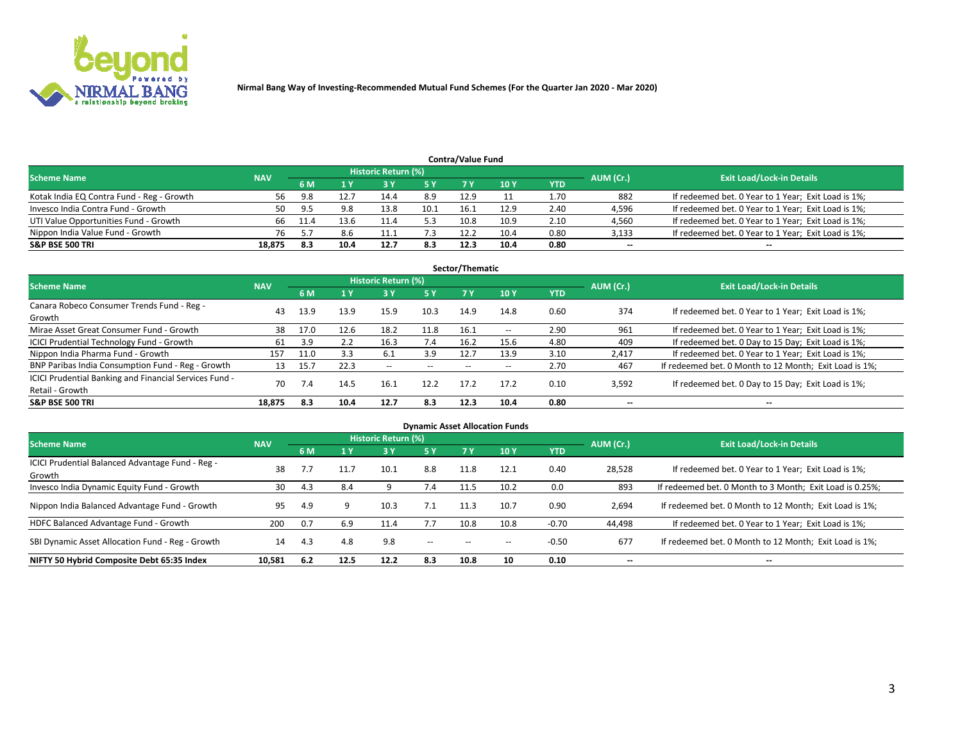

| <b>Contra/Value Fund</b><br>Historic Return (%) |            |      |      |      |      |      |      |      |           |                                                     |  |  |  |
|-------------------------------------------------|------------|------|------|------|------|------|------|------|-----------|-----------------------------------------------------|--|--|--|
| <b>Scheme Name</b>                              | <b>NAV</b> | 6 M  |      |      | 5 Y  | 7 Y  | 10Y  | YTD  | AUM (Cr.) | <b>Exit Load/Lock-in Details</b>                    |  |  |  |
| Kotak India EQ Contra Fund - Reg - Growth       | 56         | 9.8  |      | 14.4 | 8.9  | 12.9 |      | 1.70 | 882       | If redeemed bet. 0 Year to 1 Year; Exit Load is 1%; |  |  |  |
| Invesco India Contra Fund - Growth              | 50         | 9.5  | 9.8  | 13.8 | 10.1 |      | 12.9 | 2.40 | 4,596     | If redeemed bet. 0 Year to 1 Year; Exit Load is 1%; |  |  |  |
| UTI Value Opportunities Fund - Growth           | 66         | 11.4 | 13.6 | 11.4 | 5.3  | 10.8 | 10.9 | 2.10 | 4,560     | If redeemed bet. 0 Year to 1 Year; Exit Load is 1%; |  |  |  |
| Nippon India Value Fund - Growth                | 76         |      | 8.6  |      |      | 12.2 | 10.4 | 0.80 | 3,133     | If redeemed bet. 0 Year to 1 Year; Exit Load is 1%; |  |  |  |
| <b>S&amp;P BSE 500 TRI</b>                      | 18,875     | 8.3  | 10.4 | 12.7 | 8.3  | 12.3 | 10.4 | 0.80 | $\sim$    | $- -$                                               |  |  |  |

|                                                                           |            |      |      |                          |           | Sector/Thematic |                          |            |                          |                                                        |
|---------------------------------------------------------------------------|------------|------|------|--------------------------|-----------|-----------------|--------------------------|------------|--------------------------|--------------------------------------------------------|
| <b>Scheme Name</b>                                                        | <b>NAV</b> |      |      | Historic Return (%)      |           |                 |                          |            | AUM (Cr.)                | <b>Exit Load/Lock-in Details</b>                       |
|                                                                           |            | 6 M  | 1 Y  | 73 Y                     | <b>5Y</b> | 7 Y             | 10Y                      | <b>YTD</b> |                          |                                                        |
| Canara Robeco Consumer Trends Fund - Reg -<br>Growth                      | 43         | 13.9 | 13.9 | 15.9                     | 10.3      | 14.9            | 14.8                     | 0.60       | 374                      | If redeemed bet. 0 Year to 1 Year; Exit Load is 1%;    |
| Mirae Asset Great Consumer Fund - Growth                                  | 38         | 17.0 | 12.6 | 18.2                     | 11.8      | 16.1            | $\overline{\phantom{a}}$ | 2.90       | 961                      | If redeemed bet. 0 Year to 1 Year; Exit Load is 1%;    |
| ICICI Prudential Technology Fund - Growth                                 | 61         | 3.9  |      | 16.3                     | 7.4       | 16.2            | 15.6                     | 4.80       | 409                      | If redeemed bet. 0 Day to 15 Day; Exit Load is 1%;     |
| Nippon India Pharma Fund - Growth                                         | 157        | 11.0 | 3.3  | 6.1                      | 3.9       | 12.7            | 13.9                     | 3.10       | 2,417                    | If redeemed bet. 0 Year to 1 Year; Exit Load is 1%;    |
| BNP Paribas India Consumption Fund - Reg - Growth                         | 13         | 15.7 | 22.3 | $\overline{\phantom{a}}$ | $- -$     | $- -$           | $- -$                    | 2.70       | 467                      | If redeemed bet. 0 Month to 12 Month; Exit Load is 1%; |
| ICICI Prudential Banking and Financial Services Fund -<br>Retail - Growth | 70         | 7.4  | 14.5 | 16.1                     | 12.2      | 17.2            | 17.2                     | 0.10       | 3,592                    | If redeemed bet. 0 Day to 15 Day; Exit Load is 1%;     |
| <b>S&amp;P BSE 500 TRI</b>                                                | 18.875     | 8.3  | 10.4 | 12.7                     | 8.3       | 12.3            | 10.4                     | 0.80       | $\overline{\phantom{a}}$ | $\overline{\phantom{a}}$                               |

|                                                            |            |     |      |                     |        |           | <b>Dynamic Asset Allocation Funds</b> |            |                          |                                                          |
|------------------------------------------------------------|------------|-----|------|---------------------|--------|-----------|---------------------------------------|------------|--------------------------|----------------------------------------------------------|
| <b>Scheme Name</b>                                         | <b>NAV</b> |     |      | Historic Return (%) |        |           |                                       |            | AUM (Cr.)                | <b>Exit Load/Lock-in Details</b>                         |
|                                                            |            | 6 M |      | 3 Y                 | 5 Y    | <b>7Y</b> | 10Y                                   | <b>YTD</b> |                          |                                                          |
| ICICI Prudential Balanced Advantage Fund - Reg -<br>Growth | 38         |     |      | 10.1                | 8.8    | 11.8      | 12.1                                  | 0.40       | 28,528                   | If redeemed bet. 0 Year to 1 Year; Exit Load is 1%;      |
| Invesco India Dynamic Equity Fund - Growth                 | 30         | 4.3 | 8.4  |                     | 7.4    | 11.5      | 10.2                                  | 0.0        | 893                      | If redeemed bet. 0 Month to 3 Month; Exit Load is 0.25%; |
| Nippon India Balanced Advantage Fund - Growth              | 95         | 4.9 | Q    | 10.3                | 7.1    | 11.3      | 10.7                                  | 0.90       | 2,694                    | If redeemed bet. 0 Month to 12 Month; Exit Load is 1%;   |
| HDFC Balanced Advantage Fund - Growth                      | 200        | 0.7 | 6.9  | 11.4                | 7.7    | 10.8      | 10.8                                  | $-0.70$    | 44,498                   | If redeemed bet. 0 Year to 1 Year; Exit Load is 1%;      |
| SBI Dynamic Asset Allocation Fund - Reg - Growth           | 14         | 4.3 | 4.8  | 9.8                 | $\sim$ | --        | --                                    | $-0.50$    | 677                      | If redeemed bet. 0 Month to 12 Month; Exit Load is 1%;   |
| NIFTY 50 Hybrid Composite Debt 65:35 Index                 | 10,581     | 6.2 | 12.5 | 12.2                | 8.3    | 10.8      | 10                                    | 0.10       | $\overline{\phantom{a}}$ | $- -$                                                    |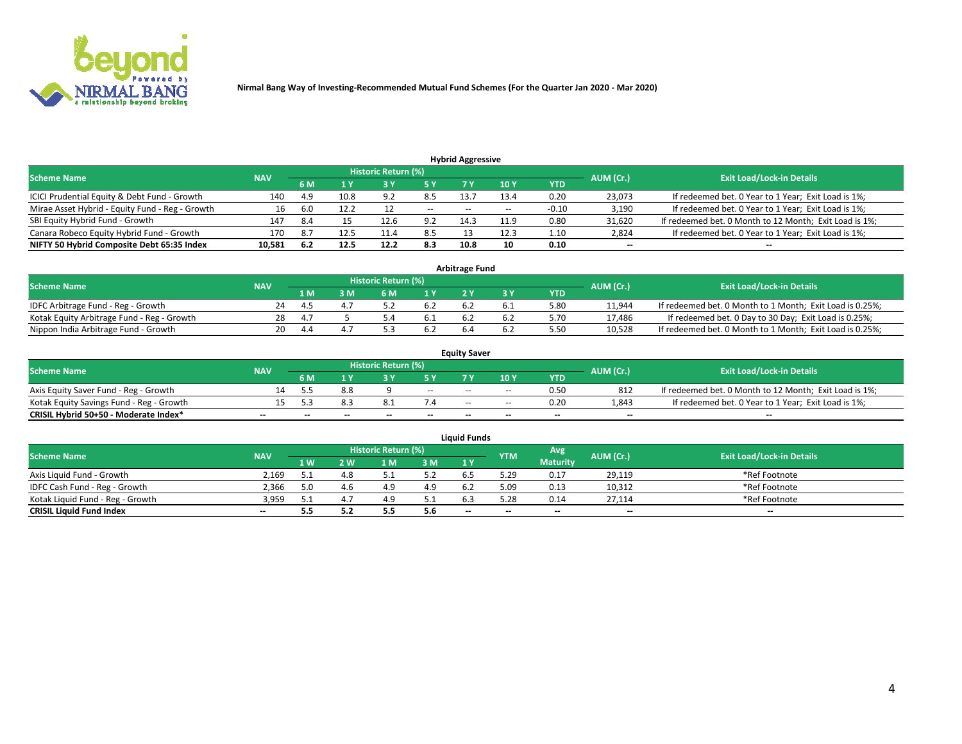

| <b>Hybrid Aggressive</b>                        |            |     |      |                            |                          |                          |       |         |                          |                                                        |  |  |  |  |
|-------------------------------------------------|------------|-----|------|----------------------------|--------------------------|--------------------------|-------|---------|--------------------------|--------------------------------------------------------|--|--|--|--|
| <b>Scheme Name</b>                              | <b>NAV</b> |     |      | <b>Historic Return (%)</b> |                          |                          |       |         | AUM (Cr.)                | <b>Exit Load/Lock-in Details</b>                       |  |  |  |  |
|                                                 |            | 6 M |      |                            |                          |                          | 10Y   | YTD     |                          |                                                        |  |  |  |  |
| ICICI Prudential Equity & Debt Fund - Growth    | 140        | 4.9 | 10.8 | <b>ດ</b> າ                 | 8.5                      | 13.                      | 13.4  | 0.20    | 23,073                   | If redeemed bet. 0 Year to 1 Year; Exit Load is 1%;    |  |  |  |  |
| Mirae Asset Hybrid - Equity Fund - Reg - Growth | 16         | 6.0 | 12.2 |                            | $\overline{\phantom{a}}$ | $\overline{\phantom{a}}$ | $- -$ | $-0.10$ | 3,190                    | If redeemed bet. 0 Year to 1 Year; Exit Load is 1%;    |  |  |  |  |
| SBI Equity Hybrid Fund - Growth                 | 147        | 8.4 |      | 12.6                       | 9.2                      | 14.3                     | 11.9  | 0.80    | 31,620                   | If redeemed bet. 0 Month to 12 Month; Exit Load is 1%; |  |  |  |  |
| Canara Robeco Equity Hybrid Fund - Growth       | 170        | 8.7 | 12.5 | 11.4                       | 8.5                      |                          | 12.3  | 1.10    | 2,824                    | If redeemed bet. 0 Year to 1 Year; Exit Load is 1%;    |  |  |  |  |
| NIFTY 50 Hybrid Composite Debt 65:35 Index      | 10,581     | 6.2 | 12.5 | 12.2                       | 8.3                      | 10.8                     | 10    | 0.10    | $\overline{\phantom{a}}$ | $- -$                                                  |  |  |  |  |

|                                            |            |              |     |                     |     | Arbitrage Fund |     |            |           |                                                          |
|--------------------------------------------|------------|--------------|-----|---------------------|-----|----------------|-----|------------|-----------|----------------------------------------------------------|
| Scheme Name                                | <b>NAV</b> |              |     | Historic Return (%) |     |                |     |            | AUM (Cr.) | <b>Exit Load/Lock-in Details</b>                         |
|                                            |            | 1 M          | } M |                     | 1 V |                |     | <b>YTD</b> |           |                                                          |
| IDFC Arbitrage Fund - Reg - Growth         | 24         | $\mathbf{A}$ |     |                     |     |                |     | 5.80       | 11,944    | If redeemed bet. 0 Month to 1 Month; Exit Load is 0.25%; |
| Kotak Equity Arbitrage Fund - Reg - Growth | 28         | 4.           |     |                     | 0.1 |                | b.4 | 5.70       | 17.486    | If redeemed bet. 0 Day to 30 Day; Exit Load is 0.25%;    |
| Nippon India Arbitrage Fund - Growth       | 20         |              |     |                     |     |                |     | 5.50       | 10.528    | If redeemed bet. 0 Month to 1 Month; Exit Load is 0.25%; |

|                                          |            |           |                                  |                          |                          | <b>Equity Saver</b> |               |            |                          |                                                        |
|------------------------------------------|------------|-----------|----------------------------------|--------------------------|--------------------------|---------------------|---------------|------------|--------------------------|--------------------------------------------------------|
| Scheme Name                              | <b>NAV</b> | AUM (Cr.) | <b>Exit Load/Lock-in Details</b> |                          |                          |                     |               |            |                          |                                                        |
|                                          |            | 6 M       |                                  |                          | 5 Y                      |                     | $\sqrt{10}$ Y | <b>YTD</b> |                          |                                                        |
| Axis Equity Saver Fund - Reg - Growth    |            |           | 8.8                              |                          | $\sim$                   | $-$                 | $- -$         | 0.50       | 812                      | If redeemed bet. 0 Month to 12 Month; Exit Load is 1%; |
| Kotak Equity Savings Fund - Reg - Growth |            |           | 8.3                              |                          |                          | $\sim$ $\sim$       | $- -$         | 0.20       | 1,843                    | If redeemed bet. 0 Year to 1 Year; Exit Load is 1%;    |
| CRISIL Hybrid 50+50 - Moderate Index*    |            | $-$       | $-$                              | $\overline{\phantom{a}}$ | $\overline{\phantom{a}}$ | $\sim$              | --            | $\sim$     | $\overline{\phantom{a}}$ | $- -$                                                  |

| <b>Liquid Funds</b>              |            |       |     |                            |      |                          |            |                 |           |                                  |  |  |  |  |
|----------------------------------|------------|-------|-----|----------------------------|------|--------------------------|------------|-----------------|-----------|----------------------------------|--|--|--|--|
| Scheme Name                      | <b>NAV</b> |       |     | <b>Historic Return (%)</b> |      |                          | <b>YTM</b> | Avg             | AUM (Cr.) | <b>Exit Load/Lock-in Details</b> |  |  |  |  |
|                                  |            | 1 W.  | ว พ | 1 M                        | 3 M  | 1 Y                      |            | <b>Maturity</b> |           |                                  |  |  |  |  |
| Axis Liquid Fund - Growth        | 2.169      |       | 4.8 |                            | 5.2  |                          | 5.29       | 0.17            | 29,119    | *Ref Footnote                    |  |  |  |  |
| IDFC Cash Fund - Reg - Growth    | 2.366      | 5.0   |     |                            | 4.9  | 6.                       | 5.09       | 0.13            | 10,312    | *Ref Footnote                    |  |  |  |  |
| Kotak Liquid Fund - Reg - Growth | 3,959      | ـ . ـ |     | 4.9                        | ۰۰ ت |                          | 5.28       | 0.14            | 27,114    | *Ref Footnote                    |  |  |  |  |
| <b>CRISIL Liquid Fund Index</b>  | $- -$      | 5.5   | 5.2 |                            | 5.6  | $\overline{\phantom{a}}$ | $- -$      | $\sim$          | $\sim$    | $\sim$                           |  |  |  |  |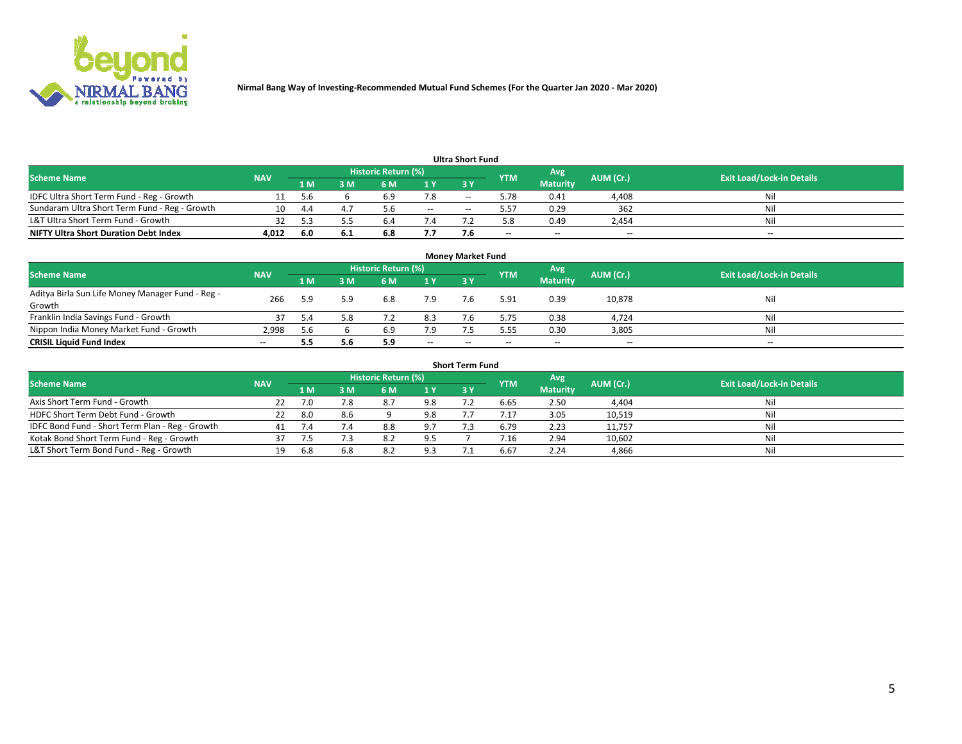

|                                               |            |      |      |                     |       | <b>Ultra Short Fund</b> |            |                 |           |                                  |
|-----------------------------------------------|------------|------|------|---------------------|-------|-------------------------|------------|-----------------|-----------|----------------------------------|
| <b>Scheme Name</b>                            | <b>NAV</b> |      |      | Historic Return (%) |       |                         | <b>YTM</b> | Avg             | AUM (Cr.) | <b>Exit Load/Lock-in Details</b> |
|                                               |            | 1 M  | 3 M  | 6 M                 | 1 Y   | 3 Y                     |            | <b>Maturity</b> |           |                                  |
| IDFC Ultra Short Term Fund - Reg - Growth     |            | -5.6 |      | 6.9                 | 7.8   | $- -$                   | 5.78       | 0.41            | 4,408     | Nil                              |
| Sundaram Ultra Short Term Fund - Reg - Growth | 10         | -4.4 |      | 5.6                 | $- -$ | --                      | 5.57       | 0.29            | 362       | Nil                              |
| L&T Ultra Short Term Fund - Growth            |            |      |      | b.                  |       |                         | 5.8        | 0.49            | 2,454     | Nil                              |
| <b>NIFTY Ultra Short Duration Debt Index</b>  | 4.012      | -6.0 | -6.1 | 6.8                 | 7.7   |                         | $\sim$     | $\sim$          | $\sim$    | $- -$                            |

| <b>Money Market Fund</b>                         |            |     |     |                     |        |     |            |                 |           |                                  |  |  |  |
|--------------------------------------------------|------------|-----|-----|---------------------|--------|-----|------------|-----------------|-----------|----------------------------------|--|--|--|
| <b>Scheme Name</b>                               | <b>NAV</b> |     |     | Historic Return (%) |        |     | <b>YTM</b> | 'Avg            | AUM (Cr.) | <b>Exit Load/Lock-in Details</b> |  |  |  |
|                                                  |            | 1 M | 3 M | 6 M                 | 1 Y    | 3Y  |            | <b>Maturity</b> |           |                                  |  |  |  |
| Aditya Birla Sun Life Money Manager Fund - Reg - | 266        | 5.9 | 5.9 | 6.8                 | 7.9    | 7.6 | 5.91       | 0.39            | 10,878    | Nil                              |  |  |  |
| Growth                                           |            |     |     |                     |        |     |            |                 |           |                                  |  |  |  |
| Franklin India Savings Fund - Growth             |            | 5.4 | 5.8 |                     | 8.3    |     | 5.75       | 0.38            | 4,724     | Nil                              |  |  |  |
| Nippon India Money Market Fund - Growth          | 2,998      | 5.6 |     | 6.9                 | 7.9    |     | 5.55       | 0.30            | 3,805     | Nil                              |  |  |  |
| <b>CRISIL Liquid Fund Index</b>                  | $- -$      |     | 5.6 | 5.9                 | $\sim$ | --  | --         | $\sim$          | $\sim$    | $\sim$                           |  |  |  |

| <b>Short Term Fund</b>                          |            |      |     |                     |     |           |            |                 |           |                                  |  |  |  |  |
|-------------------------------------------------|------------|------|-----|---------------------|-----|-----------|------------|-----------------|-----------|----------------------------------|--|--|--|--|
| <b>Scheme Name</b>                              | <b>NAV</b> |      |     | Historic Return (%) |     |           | <b>YTM</b> | Avg             | AUM (Cr.) | <b>Exit Load/Lock-in Details</b> |  |  |  |  |
|                                                 |            | 1 M  | 3 M | 6 M                 | 1Y  | <b>3Y</b> |            | <b>Maturity</b> |           |                                  |  |  |  |  |
| Axis Short Term Fund - Growth                   |            |      | 7.8 | 8.7                 | 9.8 |           | 6.65       | 2.50            | 4,404     | Nil                              |  |  |  |  |
| HDFC Short Term Debt Fund - Growth              | 22         | -8.0 | 8.6 |                     | 9.8 |           | 7.17       | 3.05            | 10,519    | Nil                              |  |  |  |  |
| IDFC Bond Fund - Short Term Plan - Reg - Growth |            |      | 7.4 | 8.8                 | 9.7 |           | 6.79       | 2.23            | 11,757    | Nil                              |  |  |  |  |
| Kotak Bond Short Term Fund - Reg - Growth       |            |      |     | 8.2                 | 9.5 |           | / .16      | 2.94            | 10,602    | Nil                              |  |  |  |  |
| L&T Short Term Bond Fund - Reg - Growth         |            | -6.8 | 6.8 | 8.2                 | 9.3 |           | 6.67       | 2.24            | 4,866     | Nil                              |  |  |  |  |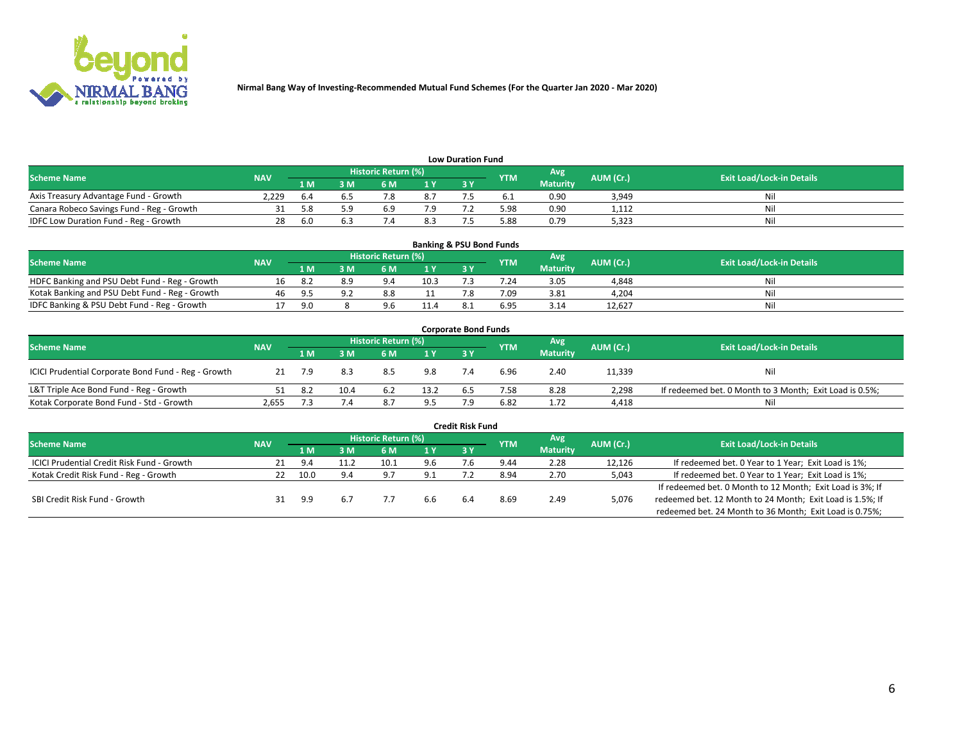

| <b>Low Duration Fund</b>                  |            |      |      |                            |     |  |            |                 |           |                                  |  |  |  |  |
|-------------------------------------------|------------|------|------|----------------------------|-----|--|------------|-----------------|-----------|----------------------------------|--|--|--|--|
| <b>Scheme Name</b>                        | <b>NAV</b> |      |      | <b>Historic Return (%)</b> |     |  | <b>YTM</b> | Avg             | AUM (Cr.) | <b>Exit Load/Lock-in Details</b> |  |  |  |  |
|                                           |            | 1 M  | ያ M  | 5 M                        | 1 V |  |            | <b>Maturity</b> |           |                                  |  |  |  |  |
| Axis Treasury Advantage Fund - Growth     | 2.229      | b.4  |      |                            | 8.7 |  |            | 0.90            | 3,949     | Nil                              |  |  |  |  |
| Canara Robeco Savings Fund - Reg - Growth |            |      | г. α | 6.9                        | 7.9 |  | 5.98       | 0.90            | 1,112     | Nil                              |  |  |  |  |
| IDFC Low Duration Fund - Reg - Growth     |            | -6.0 |      |                            | 8.3 |  | 5.88       | 0.79            | 5,323     | Nil                              |  |  |  |  |

| <b>Banking &amp; PSU Bond Funds</b>            |            |                |     |                            |                |       |            |                 |           |                                  |  |  |  |
|------------------------------------------------|------------|----------------|-----|----------------------------|----------------|-------|------------|-----------------|-----------|----------------------------------|--|--|--|
| <b>Scheme Name</b>                             | <b>NAV</b> |                |     | <b>Historic Return (%)</b> |                |       | <b>YTM</b> | Avg             | AUM (Cr.) | <b>Exit Load/Lock-in Details</b> |  |  |  |
|                                                |            | 1 M            | 8 M |                            | 4 <sub>Y</sub> | $-3V$ |            | <b>Maturity</b> |           |                                  |  |  |  |
| HDFC Banking and PSU Debt Fund - Reg - Growth  |            |                | 8.9 | 9.4                        | 10.3           |       | 7.24       | 3.05            | 4,848     | Nil                              |  |  |  |
| Kotak Banking and PSU Debt Fund - Reg - Growth | 46         | -95            |     | 8.8                        |                |       | 7.09       | 3.81            | 4.204     | Nil                              |  |  |  |
| IDFC Banking & PSU Debt Fund - Reg - Growth    |            | 9 <sub>0</sub> |     | 96                         | 11.4           |       | 6.95       | 3.14            | 12.627    | Nil                              |  |  |  |

| <b>Corporate Bond Funds</b>                         |            |     |             |                     |      |            |            |                 |           |                                                         |  |  |  |
|-----------------------------------------------------|------------|-----|-------------|---------------------|------|------------|------------|-----------------|-----------|---------------------------------------------------------|--|--|--|
| <b>Scheme Name</b>                                  | <b>NAV</b> |     |             | Historic Return (%) |      |            | <b>YTM</b> | Avg             | AUM (Cr.) | <b>Exit Load/Lock-in Details</b>                        |  |  |  |
|                                                     |            | 1 M | 8 M         | 6 M                 | 1 Y  | <b>3 Y</b> |            | <b>Maturity</b> |           |                                                         |  |  |  |
| ICICI Prudential Corporate Bond Fund - Reg - Growth |            |     | 8.3         | 8.5                 | 9.8  |            | 6.96       | 2.40            | 11,339    | Nil                                                     |  |  |  |
| L&T Triple Ace Bond Fund - Reg - Growth             |            | 8.2 | 10.4        | 6.2                 | 13.2 | ხ.5        | 7.58       | 8.28            | 2,298     | If redeemed bet. 0 Month to 3 Month; Exit Load is 0.5%; |  |  |  |
| Kotak Corporate Bond Fund - Std - Growth            | 2,655      |     | $\sqrt{.4}$ | 8.7                 | 9.5  |            | 6.82       | 1.72            | 4,418     | Nil                                                     |  |  |  |

|                                                   |            |      |     |                            |     | <b>Credit Risk Fund</b> |            |                 |           |                                                           |
|---------------------------------------------------|------------|------|-----|----------------------------|-----|-------------------------|------------|-----------------|-----------|-----------------------------------------------------------|
| <b>Scheme Name</b>                                | <b>NAV</b> |      |     | <b>Historic Return (%)</b> |     |                         | <b>YTM</b> | 'Avg            | AUM (Cr.) | <b>Exit Load/Lock-in Details</b>                          |
|                                                   |            | 1 M  | 3 M | 6 M                        | 1 Y | 3Y                      |            | <b>Maturity</b> |           |                                                           |
| <b>ICICI Prudential Credit Risk Fund - Growth</b> | 21         | 9.4  |     | 10.1                       | 9.6 |                         | 9.44       | 2.28            | 12,126    | If redeemed bet. 0 Year to 1 Year; Exit Load is 1%;       |
| Kotak Credit Risk Fund - Reg - Growth             |            | 10.0 | 9.4 | - Q 7                      | 9.1 |                         | 8.94       | 2.70            | 5,043     | If redeemed bet. 0 Year to 1 Year; Exit Load is 1%;       |
|                                                   |            |      |     |                            |     |                         |            |                 |           | If redeemed bet. 0 Month to 12 Month; Exit Load is 3%; If |
| SBI Credit Risk Fund - Growth                     | 31         | 9.9  | 6.7 |                            | 6.6 |                         | 8.69       | 2.49            | 5,076     | redeemed bet. 12 Month to 24 Month; Exit Load is 1.5%; If |
|                                                   |            |      |     |                            |     |                         |            |                 |           | redeemed bet. 24 Month to 36 Month; Exit Load is 0.75%;   |